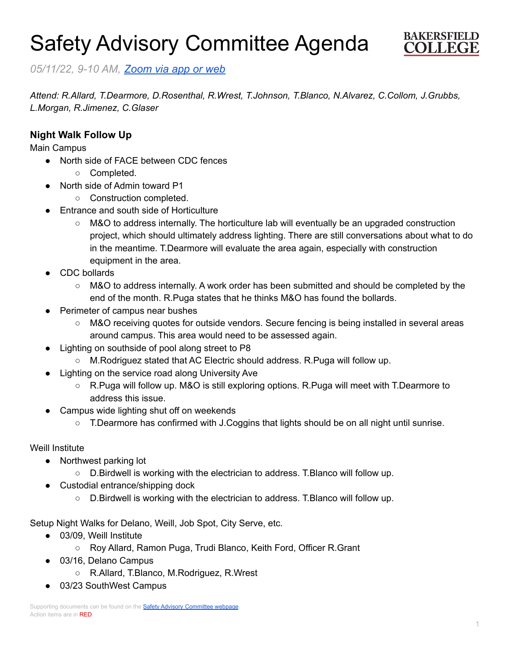

*05/11/22, 9-10 AM, [Zoom](https://cccconfer.zoom.us/j/95588517472?pwd=OTV2dmFlMHN3dWkxRndrem1YL2dQQT09) via app or web*

*Attend: R.Allard, T.Dearmore, D.Rosenthal, R.Wrest, T.Johnson, T.Blanco, N.Alvarez, C.Collom, J.Grubbs, L.Morgan, R.Jimenez, C.Glaser*

## **Night Walk Follow Up**

Main Campus

- North side of FACE between CDC fences
	- Completed.
- North side of Admin toward P1
	- Construction completed.
- **Entrance and south side of Horticulture** 
	- M&O to address internally. The horticulture lab will eventually be an upgraded construction project, which should ultimately address lighting. There are still conversations about what to do in the meantime. T.Dearmore will evaluate the area again, especially with construction equipment in the area.
- CDC bollards
	- M&O to address internally. A work order has been submitted and should be completed by the end of the month. R.Puga states that he thinks M&O has found the bollards.
- **Perimeter of campus near bushes** 
	- M&O receiving quotes for outside vendors. Secure fencing is being installed in several areas around campus. This area would need to be assessed again.
- Lighting on southside of pool along street to P8
	- $\circ$  M. Rodriguez stated that AC Electric should address. R. Puga will follow up.
- Lighting on the service road along University Ave
	- R.Puga will follow up. M&O is still exploring options. R.Puga will meet with T.Dearmore to address this issue.
- Campus wide lighting shut off on weekends
	- $\circ$  T. Dearmore has confirmed with J. Coggins that lights should be on all night until sunrise.

#### Weill Institute

- Northwest parking lot
	- D.Birdwell is working with the electrician to address. T.Blanco will follow up.
- Custodial entrance/shipping dock
	- D.Birdwell is working with the electrician to address. T.Blanco will follow up.

Setup Night Walks for Delano, Weill, Job Spot, City Serve, etc.

- 03/09, Weill Institute
	- Roy Allard, Ramon Puga, Trudi Blanco, Keith Ford, Officer R.Grant
- 03/16, Delano Campus
	- R.Allard, T.Blanco, M.Rodriguez, R.Wrest
- 03/23 SouthWest Campus

Supporting documents can be found on the **Safety Advisory [Committee](https://committees.kccd.edu/bc/committee/safety-advisory-committee) webpage** Action items are in RED.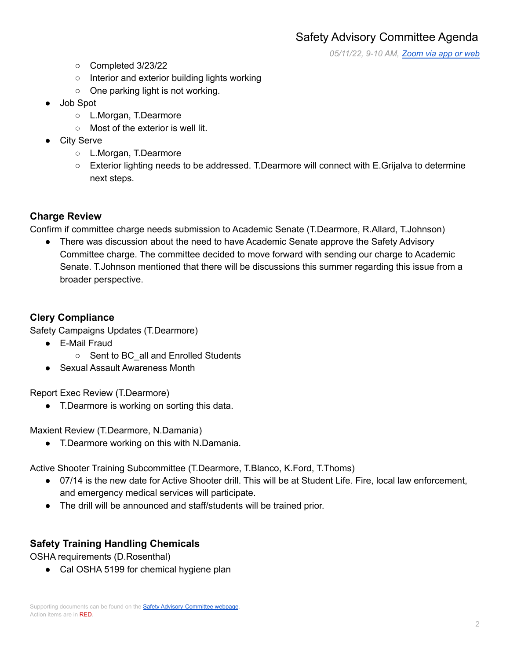*05/11/22, 9-10 AM, [Zoom](https://cccconfer.zoom.us/j/95588517472?pwd=OTV2dmFlMHN3dWkxRndrem1YL2dQQT09) via app or web*

- Completed 3/23/22
- Interior and exterior building lights working
- One parking light is not working.
- Job Spot
	- L.Morgan, T.Dearmore
	- Most of the exterior is well lit.
- **City Serve** 
	- L.Morgan, T.Dearmore
	- Exterior lighting needs to be addressed. T.Dearmore will connect with E.Grijalva to determine next steps.

#### **Charge Review**

Confirm if committee charge needs submission to Academic Senate (T.Dearmore, R.Allard, T.Johnson)

● There was discussion about the need to have Academic Senate approve the Safety Advisory Committee charge. The committee decided to move forward with sending our charge to Academic Senate. T.Johnson mentioned that there will be discussions this summer regarding this issue from a broader perspective.

#### **Clery Compliance**

Safety Campaigns Updates (T.Dearmore)

- E-Mail Fraud
	- Sent to BC all and Enrolled Students
- Sexual Assault Awareness Month

Report Exec Review (T.Dearmore)

● T.Dearmore is working on sorting this data.

Maxient Review (T.Dearmore, N.Damania)

● T.Dearmore working on this with N.Damania.

Active Shooter Training Subcommittee (T.Dearmore, T.Blanco, K.Ford, T.Thoms)

- 07/14 is the new date for Active Shooter drill. This will be at Student Life. Fire, local law enforcement, and emergency medical services will participate.
- The drill will be announced and staff/students will be trained prior.

#### **Safety Training Handling Chemicals**

OSHA requirements (D.Rosenthal)

● Cal OSHA 5199 for chemical hygiene plan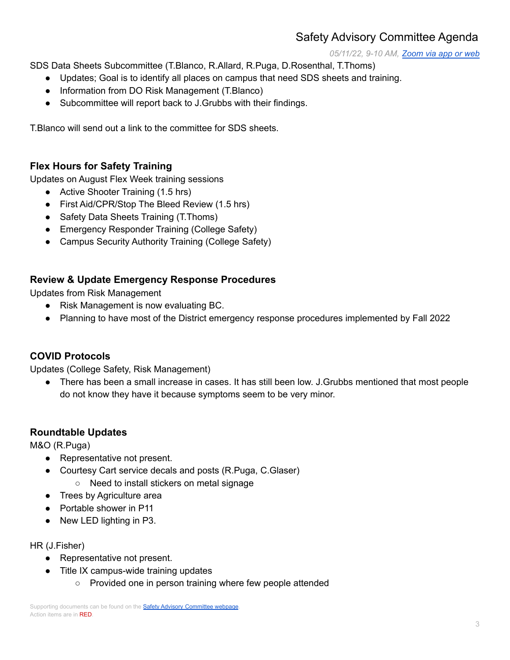*05/11/22, 9-10 AM, [Zoom](https://cccconfer.zoom.us/j/95588517472?pwd=OTV2dmFlMHN3dWkxRndrem1YL2dQQT09) via app or web*

SDS Data Sheets Subcommittee (T.Blanco, R.Allard, R.Puga, D.Rosenthal, T.Thoms)

- Updates; Goal is to identify all places on campus that need SDS sheets and training.
- Information from DO Risk Management (T.Blanco)
- Subcommittee will report back to J.Grubbs with their findings.

T.Blanco will send out a link to the committee for SDS sheets.

## **Flex Hours for Safety Training**

Updates on August Flex Week training sessions

- Active Shooter Training (1.5 hrs)
- First Aid/CPR/Stop The Bleed Review (1.5 hrs)
- Safety Data Sheets Training (T.Thoms)
- Emergency Responder Training (College Safety)
- Campus Security Authority Training (College Safety)

### **Review & Update Emergency Response Procedures**

Updates from Risk Management

- Risk Management is now evaluating BC.
- Planning to have most of the District emergency response procedures implemented by Fall 2022

### **COVID Protocols**

Updates (College Safety, Risk Management)

● There has been a small increase in cases. It has still been low. J.Grubbs mentioned that most people do not know they have it because symptoms seem to be very minor.

### **Roundtable Updates**

M&O (R.Puga)

- Representative not present.
- Courtesy Cart service decals and posts (R.Puga, C.Glaser)
	- Need to install stickers on metal signage
- Trees by Agriculture area
- Portable shower in P11
- New LED lighting in P3.

HR (J.Fisher)

- Representative not present.
- Title IX campus-wide training updates
	- Provided one in person training where few people attended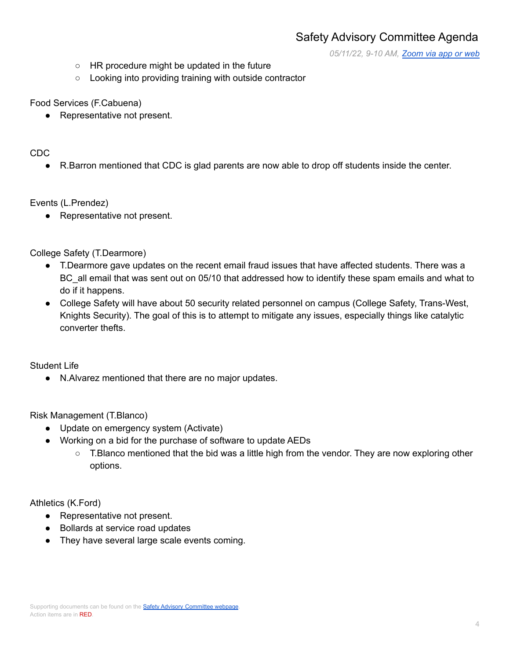*05/11/22, 9-10 AM, [Zoom](https://cccconfer.zoom.us/j/95588517472?pwd=OTV2dmFlMHN3dWkxRndrem1YL2dQQT09) via app or web*

- HR procedure might be updated in the future
- Looking into providing training with outside contractor

Food Services (F.Cabuena)

● Representative not present.

#### CDC

● R.Barron mentioned that CDC is glad parents are now able to drop off students inside the center.

Events (L.Prendez)

● Representative not present.

College Safety (T.Dearmore)

- T.Dearmore gave updates on the recent email fraud issues that have affected students. There was a BC\_all email that was sent out on 05/10 that addressed how to identify these spam emails and what to do if it happens.
- College Safety will have about 50 security related personnel on campus (College Safety, Trans-West, Knights Security). The goal of this is to attempt to mitigate any issues, especially things like catalytic converter thefts.

Student Life

● N.Alvarez mentioned that there are no major updates.

Risk Management (T.Blanco)

- Update on emergency system (Activate)
- Working on a bid for the purchase of software to update AEDs
	- T.Blanco mentioned that the bid was a little high from the vendor. They are now exploring other options.

Athletics (K.Ford)

- Representative not present.
- Bollards at service road updates
- They have several large scale events coming.